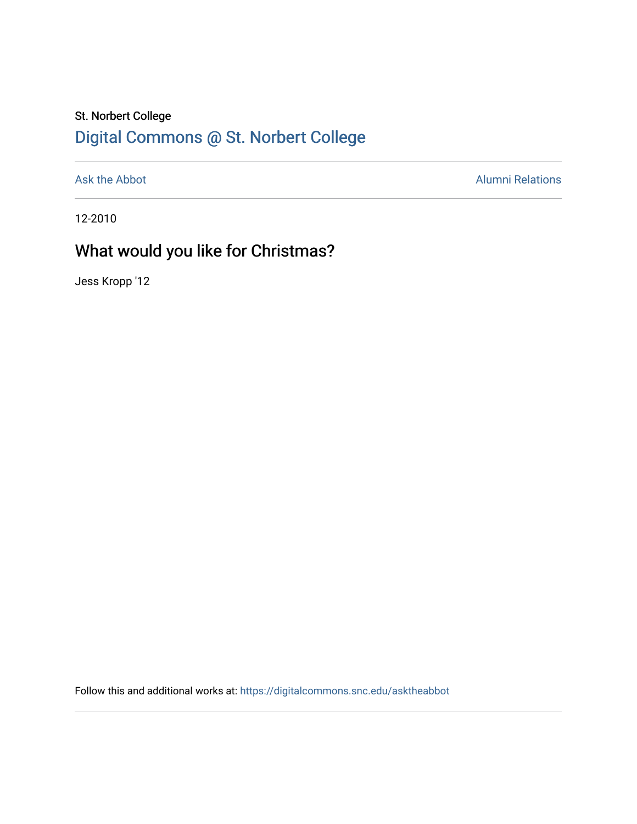## St. Norbert College [Digital Commons @ St. Norbert College](https://digitalcommons.snc.edu/)

[Ask the Abbot](https://digitalcommons.snc.edu/asktheabbot) **Alumni Relations** Alumni Relations

12-2010

# What would you like for Christmas?

Jess Kropp '12

Follow this and additional works at: [https://digitalcommons.snc.edu/asktheabbot](https://digitalcommons.snc.edu/asktheabbot?utm_source=digitalcommons.snc.edu%2Fasktheabbot%2F28&utm_medium=PDF&utm_campaign=PDFCoverPages)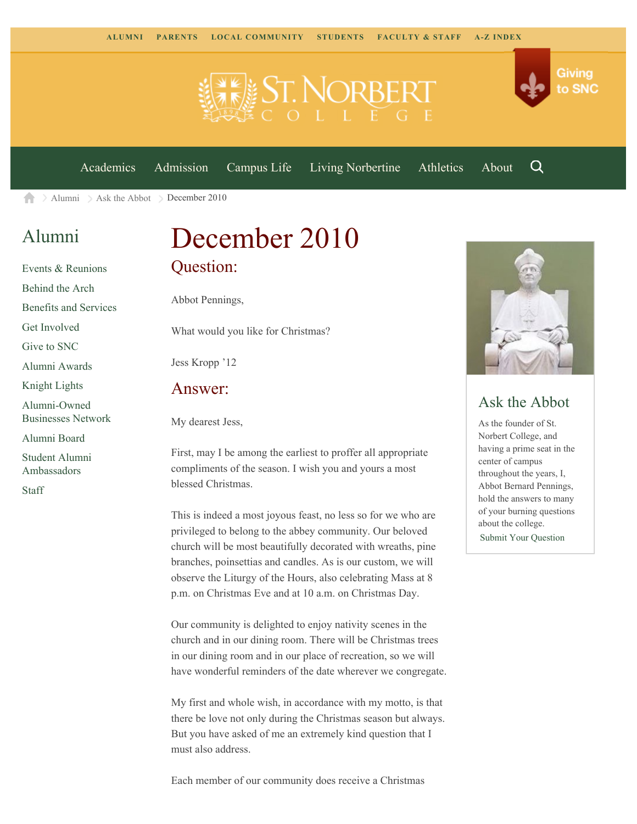

[Academics](https://www.snc.edu/academics) [Admission](https://www.snc.edu/admission) [Campus Life](https://www.snc.edu/campuslife) [Living Norbertine](https://www.snc.edu/livingnorbertine) [Athletics](https://www.snc.edu/athletics) [About](https://www.snc.edu/about)

Q

Giving

to SNC

[Alumni](https://www.snc.edu/alumni/) [Ask the Abbot](https://www.snc.edu/alumni/abbot/) December 2010 合

### [Alumni](https://www.snc.edu/alumni/index.html)

[Events & Reunions](https://www.snc.edu/alumni/event/index.html) [Behind the Arch](https://www.snc.edu/alumni/event/behindthearch/) [Benefits and Services](https://www.snc.edu/alumni/benefits.html) [Get Involved](https://www.snc.edu/alumni/getinvolved.html) [Give to SNC](http://giving.snc.edu/) [Alumni Awards](https://www.snc.edu/alumni/awards/index.html) [Knight Lights](https://www.snc.edu/alumni/knightlights/index.html) [Alumni-Owned](https://www.snc.edu/alumni/directory/index.html) [Businesses Network](https://www.snc.edu/alumni/directory/index.html) [Alumni Board](https://www.snc.edu/alumni/alumniboard.html) [Student Alumni](https://www.snc.edu/alumni/saa.html) [Ambassadors](https://www.snc.edu/alumni/saa.html) [Staff](https://www.snc.edu/alumni/contactus.html)

# December 2010 Question:

Abbot Pennings,

What would you like for Christmas?

Jess Kropp '12

#### Answer:

My dearest Jess,

First, may I be among the earliest to proffer all appropriate compliments of the season. I wish you and yours a most blessed Christmas.

This is indeed a most joyous feast, no less so for we who are privileged to belong to the abbey community. Our beloved church will be most beautifully decorated with wreaths, pine branches, poinsettias and candles. As is our custom, we will observe the Liturgy of the Hours, also celebrating Mass at 8 p.m. on Christmas Eve and at 10 a.m. on Christmas Day.

Our community is delighted to enjoy nativity scenes in the church and in our dining room. There will be Christmas trees in our dining room and in our place of recreation, so we will have wonderful reminders of the date wherever we congregate.

My first and whole wish, in accordance with my motto, is that there be love not only during the Christmas season but always. But you have asked of me an extremely kind question that I must also address.

Each member of our community does receive a Christmas



### Ask the Abbot

As the founder of St. Norbert College, and having a prime seat in the center of campus throughout the years, I, Abbot Bernard Pennings, hold the answers to many of your burning questions about the college. [Submit Your Question](https://www.snc.edu/alumni/abbot/index.html)